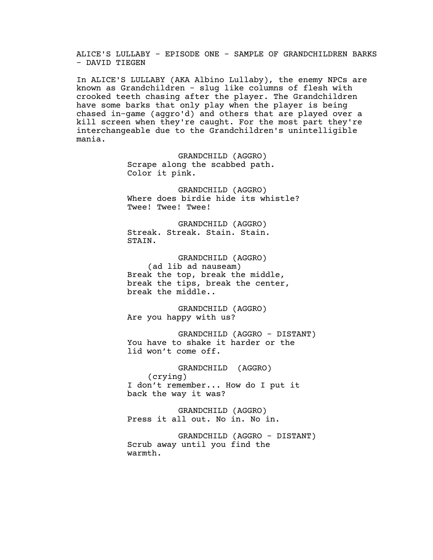ALICE'S LULLABY - EPISODE ONE - SAMPLE OF GRANDCHILDREN BARKS - DAVID TIEGEN

In ALICE'S LULLABY (AKA Albino Lullaby), the enemy NPCs are known as Grandchildren - slug like columns of flesh with crooked teeth chasing after the player. The Grandchildren have some barks that only play when the player is being chased in-game (aggro'd) and others that are played over a kill screen when they're caught. For the most part they're interchangeable due to the Grandchildren's unintelligible mania.

> GRANDCHILD (AGGRO) Scrape along the scabbed path. Color it pink.

GRANDCHILD (AGGRO) Where does birdie hide its whistle? Twee! Twee! Twee!

GRANDCHILD (AGGRO) Streak. Streak. Stain. Stain. STAIN.

GRANDCHILD (AGGRO) (ad lib ad nauseam) Break the top, break the middle, break the tips, break the center, break the middle..

GRANDCHILD (AGGRO) Are you happy with us?

GRANDCHILD (AGGRO - DISTANT) You have to shake it harder or the lid won't come off.

GRANDCHILD (AGGRO) (crying) I don't remember... How do I put it back the way it was?

GRANDCHILD (AGGRO) Press it all out. No in. No in.

GRANDCHILD (AGGRO - DISTANT) Scrub away until you find the warmth.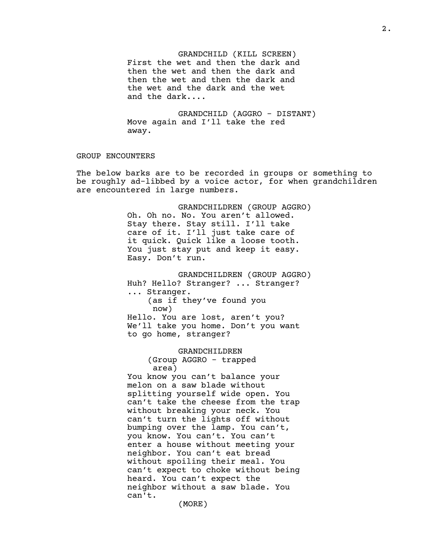GRANDCHILD (KILL SCREEN) First the wet and then the dark and then the wet and then the dark and then the wet and then the dark and the wet and the dark and the wet and the dark....

GRANDCHILD (AGGRO - DISTANT) Move again and I'll take the red away.

## GROUP ENCOUNTERS

The below barks are to be recorded in groups or something to be roughly ad-libbed by a voice actor, for when grandchildren are encountered in large numbers.

> GRANDCHILDREN (GROUP AGGRO) Oh. Oh no. No. You aren't allowed. Stay there. Stay still. I'll take care of it. I'll just take care of it quick. Quick like a loose tooth. You just stay put and keep it easy. Easy. Don't run.

> GRANDCHILDREN (GROUP AGGRO) Huh? Hello? Stranger? ... Stranger? ... Stranger. (as if they've found you now) Hello. You are lost, aren't you? We'll take you home. Don't you want to go home, stranger?

> > GRANDCHILDREN

(Group AGGRO - trapped area)

You know you can't balance your melon on a saw blade without splitting yourself wide open. You can't take the cheese from the trap without breaking your neck. You can't turn the lights off without bumping over the lamp. You can't, you know. You can't. You can't enter a house without meeting your neighbor. You can't eat bread without spoiling their meal. You can't expect to choke without being heard. You can't expect the neighbor without a saw blade. You can't.

(MORE)